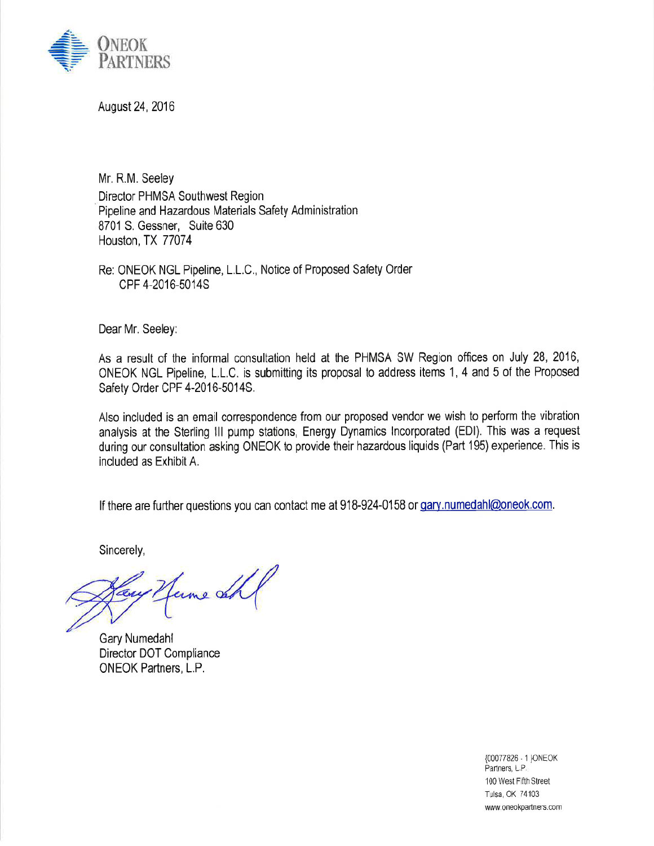

August 24, 2016

Mr. R.M. Seeley Director PHMSA Southwest Region Pipeline and Hazardous Materials Safety Administration 8701 S. Gessner, Suite 630 Houston, TX 77074

Re: ONEOK NGL Pipeline, L.L.C., Notice of Proposed Safety Order CPF 4-2016-5014S

Dear Mr. Seeley:

As a result of the informal consultation held at the PHMSA SW Region offices on July 28, 2016, ONEOK NGL Pipeline, L.L.C. is submitting its proposal to address items 1, 4 and 5 of the Proposed Safety Order CPF 4-2016-5014S.

Also included is an email correspondence from our proposed vendor we wish to perform the vibration analysis at the Sterling III pump stations, Energy Dynamics Incorporated (EDI). This was a request during our consultation asking ONEOK to provide their hazardous liquids (Part 195) experience. This is included as Exhibit A.

If there are further questions you can contact me at 918-924-0158 or gary.numedahl@oneok.com.

Sincerely,

ume de

Gary Numedahl Director DOT Compliance ONEOK Partners, L.P.

{00077826 - 1 }ONEOK Partners, L.P. 100 West Fifth Street Tulsa, OK 74103 www.oneokpartners.com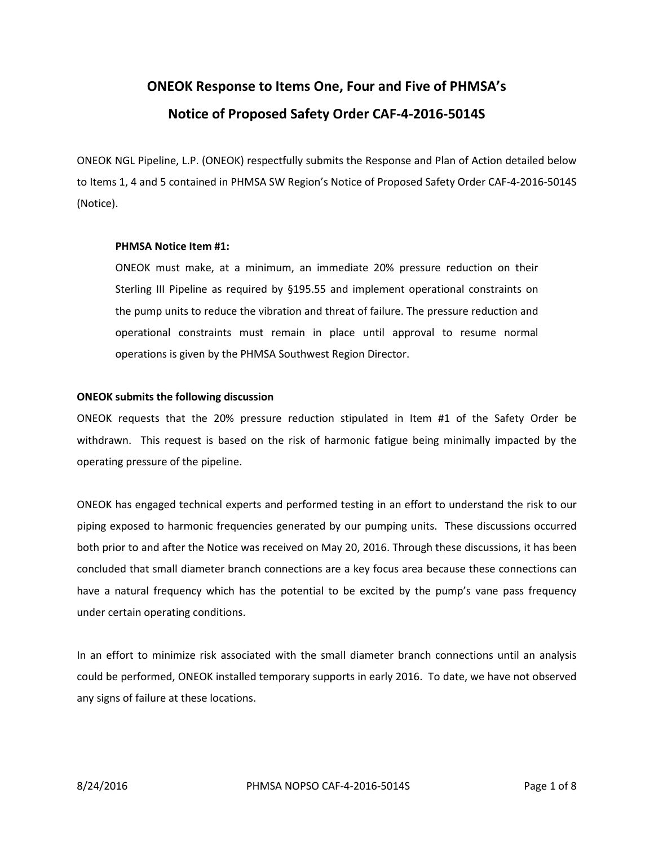# **ONEOK Response to Items One, Four and Five of PHMSA's Notice of Proposed Safety Order CAF-4-2016-5014S**

ONEOK NGL Pipeline, L.P. (ONEOK) respectfully submits the Response and Plan of Action detailed below to Items 1, 4 and 5 contained in PHMSA SW Region's Notice of Proposed Safety Order CAF-4-2016-5014S (Notice).

# **PHMSA Notice Item #1:**

ONEOK must make, at a minimum, an immediate 20% pressure reduction on their Sterling III Pipeline as required by §195.55 and implement operational constraints on the pump units to reduce the vibration and threat of failure. The pressure reduction and operational constraints must remain in place until approval to resume normal operations is given by the PHMSA Southwest Region Director.

# **ONEOK submits the following discussion**

ONEOK requests that the 20% pressure reduction stipulated in Item #1 of the Safety Order be withdrawn. This request is based on the risk of harmonic fatigue being minimally impacted by the operating pressure of the pipeline.

ONEOK has engaged technical experts and performed testing in an effort to understand the risk to our piping exposed to harmonic frequencies generated by our pumping units. These discussions occurred both prior to and after the Notice was received on May 20, 2016. Through these discussions, it has been concluded that small diameter branch connections are a key focus area because these connections can have a natural frequency which has the potential to be excited by the pump's vane pass frequency under certain operating conditions.

In an effort to minimize risk associated with the small diameter branch connections until an analysis could be performed, ONEOK installed temporary supports in early 2016. To date, we have not observed any signs of failure at these locations.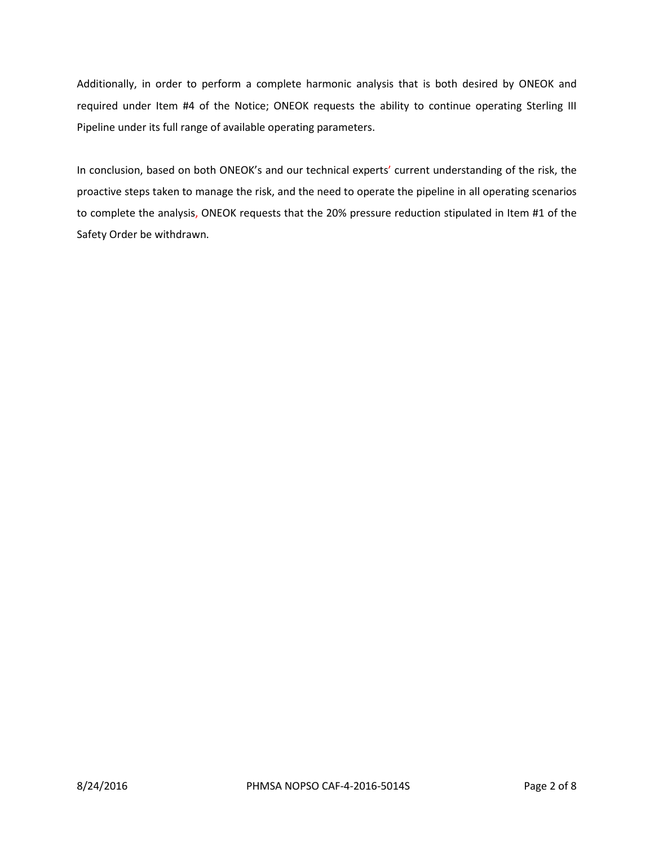Additionally, in order to perform a complete harmonic analysis that is both desired by ONEOK and required under Item #4 of the Notice; ONEOK requests the ability to continue operating Sterling III Pipeline under its full range of available operating parameters.

In conclusion, based on both ONEOK's and our technical experts' current understanding of the risk, the proactive steps taken to manage the risk, and the need to operate the pipeline in all operating scenarios to complete the analysis, ONEOK requests that the 20% pressure reduction stipulated in Item #1 of the Safety Order be withdrawn.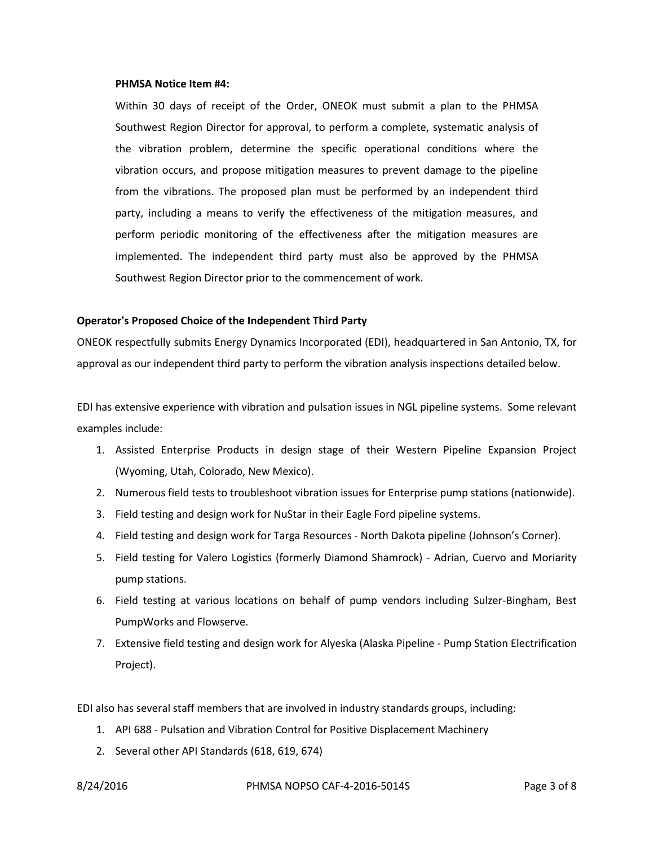#### **PHMSA Notice Item #4:**

Within 30 days of receipt of the Order, ONEOK must submit a plan to the PHMSA Southwest Region Director for approval, to perform a complete, systematic analysis of the vibration problem, determine the specific operational conditions where the vibration occurs, and propose mitigation measures to prevent damage to the pipeline from the vibrations. The proposed plan must be performed by an independent third party, including a means to verify the effectiveness of the mitigation measures, and perform periodic monitoring of the effectiveness after the mitigation measures are implemented. The independent third party must also be approved by the PHMSA Southwest Region Director prior to the commencement of work.

#### **Operator's Proposed Choice of the Independent Third Party**

ONEOK respectfully submits Energy Dynamics Incorporated (EDI), headquartered in San Antonio, TX, for approval as our independent third party to perform the vibration analysis inspections detailed below.

EDI has extensive experience with vibration and pulsation issues in NGL pipeline systems. Some relevant examples include:

- 1. Assisted Enterprise Products in design stage of their Western Pipeline Expansion Project (Wyoming, Utah, Colorado, New Mexico).
- 2. Numerous field tests to troubleshoot vibration issues for Enterprise pump stations (nationwide).
- 3. Field testing and design work for NuStar in their Eagle Ford pipeline systems.
- 4. Field testing and design work for Targa Resources North Dakota pipeline (Johnson's Corner).
- 5. Field testing for Valero Logistics (formerly Diamond Shamrock) Adrian, Cuervo and Moriarity pump stations.
- 6. Field testing at various locations on behalf of pump vendors including Sulzer-Bingham, Best PumpWorks and Flowserve.
- 7. Extensive field testing and design work for Alyeska (Alaska Pipeline Pump Station Electrification Project).

EDI also has several staff members that are involved in industry standards groups, including:

- 1. API 688 Pulsation and Vibration Control for Positive Displacement Machinery
- 2. Several other API Standards (618, 619, 674)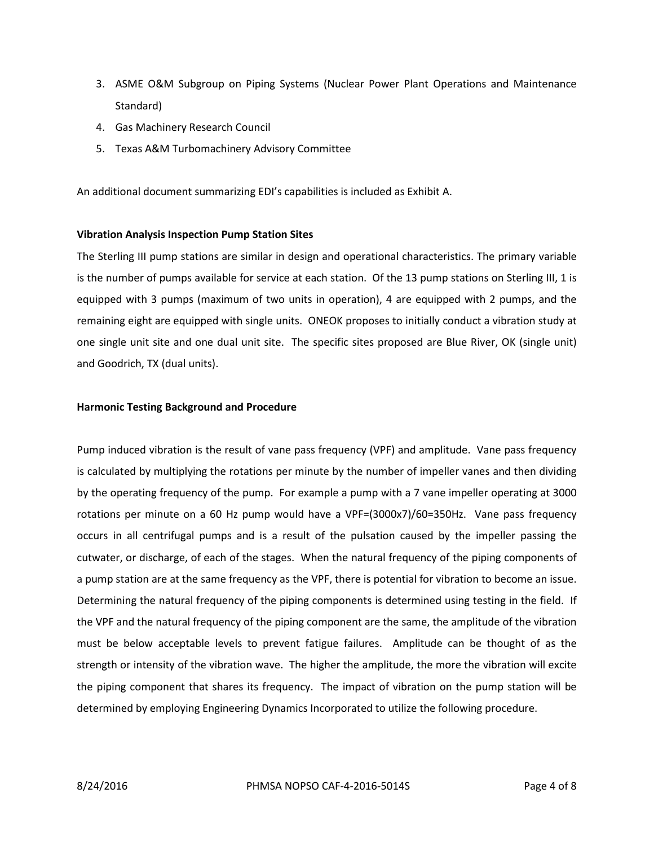- 3. ASME O&M Subgroup on Piping Systems (Nuclear Power Plant Operations and Maintenance Standard)
- 4. Gas Machinery Research Council
- 5. Texas A&M Turbomachinery Advisory Committee

An additional document summarizing EDI's capabilities is included as Exhibit A.

### **Vibration Analysis Inspection Pump Station Sites**

The Sterling III pump stations are similar in design and operational characteristics. The primary variable is the number of pumps available for service at each station. Of the 13 pump stations on Sterling III, 1 is equipped with 3 pumps (maximum of two units in operation), 4 are equipped with 2 pumps, and the remaining eight are equipped with single units. ONEOK proposes to initially conduct a vibration study at one single unit site and one dual unit site. The specific sites proposed are Blue River, OK (single unit) and Goodrich, TX (dual units).

### **Harmonic Testing Background and Procedure**

Pump induced vibration is the result of vane pass frequency (VPF) and amplitude. Vane pass frequency is calculated by multiplying the rotations per minute by the number of impeller vanes and then dividing by the operating frequency of the pump. For example a pump with a 7 vane impeller operating at 3000 rotations per minute on a 60 Hz pump would have a VPF=(3000x7)/60=350Hz. Vane pass frequency occurs in all centrifugal pumps and is a result of the pulsation caused by the impeller passing the cutwater, or discharge, of each of the stages. When the natural frequency of the piping components of a pump station are at the same frequency as the VPF, there is potential for vibration to become an issue. Determining the natural frequency of the piping components is determined using testing in the field. If the VPF and the natural frequency of the piping component are the same, the amplitude of the vibration must be below acceptable levels to prevent fatigue failures. Amplitude can be thought of as the strength or intensity of the vibration wave. The higher the amplitude, the more the vibration will excite the piping component that shares its frequency. The impact of vibration on the pump station will be determined by employing Engineering Dynamics Incorporated to utilize the following procedure.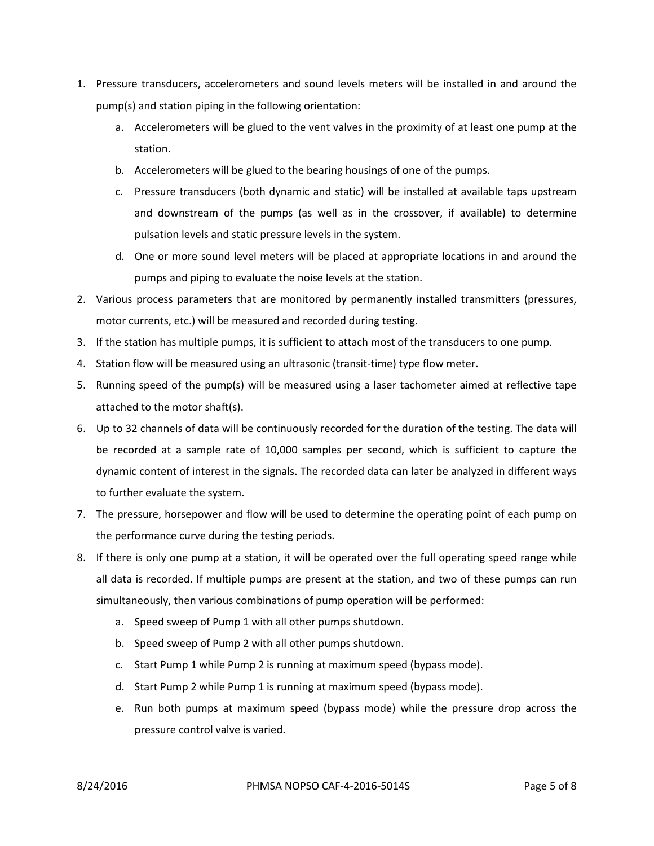- 1. Pressure transducers, accelerometers and sound levels meters will be installed in and around the pump(s) and station piping in the following orientation:
	- a. Accelerometers will be glued to the vent valves in the proximity of at least one pump at the station.
	- b. Accelerometers will be glued to the bearing housings of one of the pumps.
	- c. Pressure transducers (both dynamic and static) will be installed at available taps upstream and downstream of the pumps (as well as in the crossover, if available) to determine pulsation levels and static pressure levels in the system.
	- d. One or more sound level meters will be placed at appropriate locations in and around the pumps and piping to evaluate the noise levels at the station.
- 2. Various process parameters that are monitored by permanently installed transmitters (pressures, motor currents, etc.) will be measured and recorded during testing.
- 3. If the station has multiple pumps, it is sufficient to attach most of the transducers to one pump.
- 4. Station flow will be measured using an ultrasonic (transit-time) type flow meter.
- 5. Running speed of the pump(s) will be measured using a laser tachometer aimed at reflective tape attached to the motor shaft(s).
- 6. Up to 32 channels of data will be continuously recorded for the duration of the testing. The data will be recorded at a sample rate of 10,000 samples per second, which is sufficient to capture the dynamic content of interest in the signals. The recorded data can later be analyzed in different ways to further evaluate the system.
- 7. The pressure, horsepower and flow will be used to determine the operating point of each pump on the performance curve during the testing periods.
- 8. If there is only one pump at a station, it will be operated over the full operating speed range while all data is recorded. If multiple pumps are present at the station, and two of these pumps can run simultaneously, then various combinations of pump operation will be performed:
	- a. Speed sweep of Pump 1 with all other pumps shutdown.
	- b. Speed sweep of Pump 2 with all other pumps shutdown.
	- c. Start Pump 1 while Pump 2 is running at maximum speed (bypass mode).
	- d. Start Pump 2 while Pump 1 is running at maximum speed (bypass mode).
	- e. Run both pumps at maximum speed (bypass mode) while the pressure drop across the pressure control valve is varied.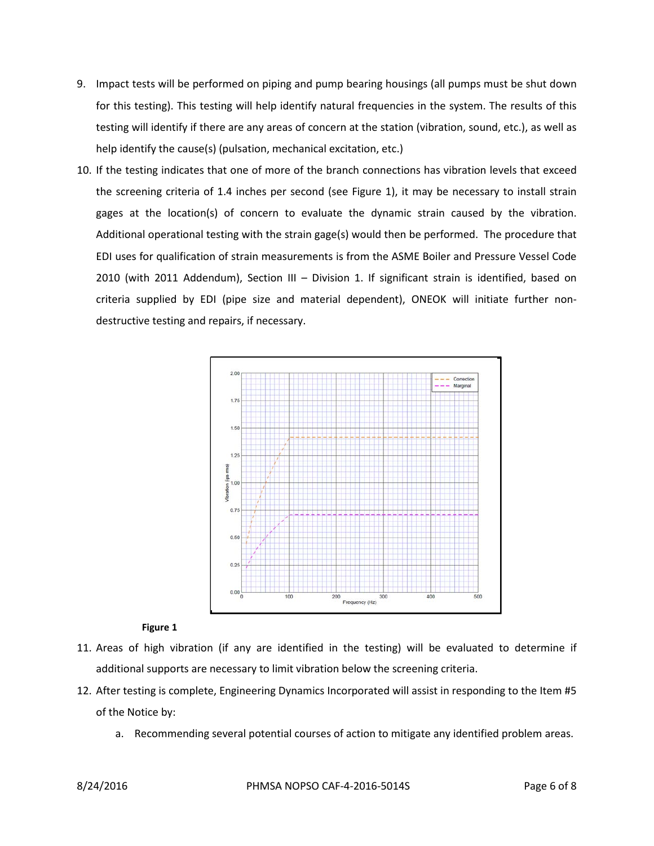- 9. Impact tests will be performed on piping and pump bearing housings (all pumps must be shut down for this testing). This testing will help identify natural frequencies in the system. The results of this testing will identify if there are any areas of concern at the station (vibration, sound, etc.), as well as help identify the cause(s) (pulsation, mechanical excitation, etc.)
- 10. If the testing indicates that one of more of the branch connections has vibration levels that exceed the screening criteria of 1.4 inches per second (see Figure 1), it may be necessary to install strain gages at the location(s) of concern to evaluate the dynamic strain caused by the vibration. Additional operational testing with the strain gage(s) would then be performed. The procedure that EDI uses for qualification of strain measurements is from the ASME Boiler and Pressure Vessel Code 2010 (with 2011 Addendum), Section III – Division 1. If significant strain is identified, based on criteria supplied by EDI (pipe size and material dependent), ONEOK will initiate further nondestructive testing and repairs, if necessary.



### **Figure 1**

- 11. Areas of high vibration (if any are identified in the testing) will be evaluated to determine if additional supports are necessary to limit vibration below the screening criteria.
- 12. After testing is complete, Engineering Dynamics Incorporated will assist in responding to the Item #5 of the Notice by:
	- a. Recommending several potential courses of action to mitigate any identified problem areas.